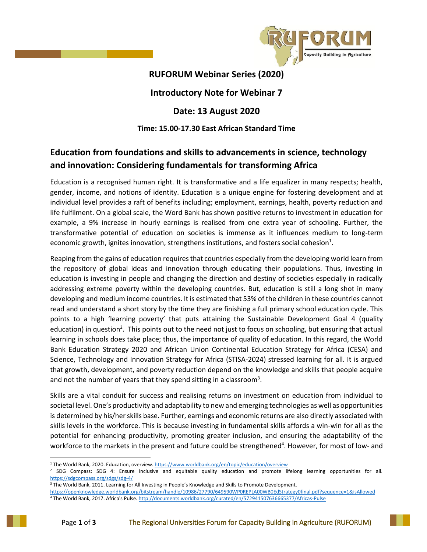

## **RUFORUM Webinar Series (2020)**

## **Introductory Note for Webinar 7**

## **Date: 13 August 2020**

### **Time: 15.00-17.30 East African Standard Time**

# **Education from foundations and skills to advancements in science, technology and innovation: Considering fundamentals for transforming Africa**

Education is a recognised human right. It is transformative and a life equalizer in many respects; health, gender, income, and notions of identity. Education is a unique engine for fostering development and at individual level provides a raft of benefits including; employment, earnings, health, poverty reduction and life fulfilment. On a global scale, the Word Bank has shown positive returns to investment in education for example, a 9% increase in hourly earnings is realised from one extra year of schooling. Further, the transformative potential of education on societies is immense as it influences medium to long-term economic growth, ignites innovation, strengthens institutions, and fosters social cohesion<sup>1</sup>.

Reaping from the gains of education requires that countries especially from the developing world learn from the repository of global ideas and innovation through educating their populations. Thus, investing in education is investing in people and changing the direction and destiny of societies especially in radically addressing extreme poverty within the developing countries. But, education is still a long shot in many developing and medium income countries. It is estimated that 53% of the children in these countries cannot read and understand a short story by the time they are finishing a full primary school education cycle. This points to a high 'learning poverty' that puts attaining the Sustainable Development Goal 4 (quality education) in question<sup>2</sup>. This points out to the need not just to focus on schooling, but ensuring that actual learning in schools does take place; thus, the importance of quality of education. In this regard, the World Bank Education Strategy 2020 and African Union Continental Education Strategy for Africa (CESA) and Science, Technology and Innovation Strategy for Africa (STISA-2024) stressed learning for all. It is argued that growth, development, and poverty reduction depend on the knowledge and skills that people acquire and not the number of years that they spend sitting in a classroom<sup>3</sup>.

Skills are a vital conduit for success and realising returns on investment on education from individual to societal level. One's productivity and adaptability to new and emerging technologies as well as opportunities is determined by his/her skills base. Further, earnings and economic returns are also directly associated with skills levels in the workforce. This is because investing in fundamental skills affords a win-win for all as the potential for enhancing productivity, promoting greater inclusion, and ensuring the adaptability of the workforce to the markets in the present and future could be strengthened<sup>4</sup>. However, for most of low- and

 $\overline{a}$ 

<sup>&</sup>lt;sup>1</sup> The World Bank, 2020. Education, overview[. https://www.worldbank.org/en/topic/education/overview](https://www.worldbank.org/en/topic/education/overview)

<sup>&</sup>lt;sup>2</sup> SDG Compass: SDG 4: Ensure inclusive and equitable quality education and promote lifelong learning opportunities for all. <https://sdgcompass.org/sdgs/sdg-4/>

<sup>3</sup> The World Bank, 2011. Learning for All Investing in People's Knowledge and Skills to Promote Development.

<https://openknowledge.worldbank.org/bitstream/handle/10986/27790/649590WP0REPLA00WB0EdStrategy0final.pdf?sequence=1&isAllowed>

<sup>4</sup> The World Bank, 2017. Africa's Pulse[. http://documents.worldbank.org/curated/en/572941507636665377/Africas-Pulse](http://documents.worldbank.org/curated/en/572941507636665377/Africas-Pulse)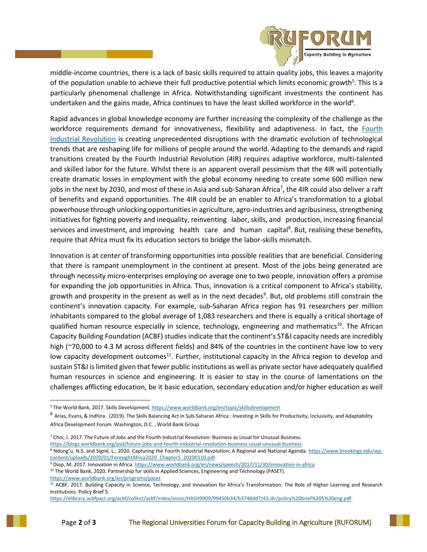

middle-income countries, there is a lack of basic skills required to attain quality jobs, this leaves a majority of the population unable to achieve their full productive potential which limits economic growth<sup>5</sup>. This is a particularly phenomenal challenge in Africa. Notwithstanding significant investments the continent has undertaken and the gains made, Africa continues to have the least skilled workforce in the world<sup>6</sup>.

Rapid advances in global knowledge economy are further increasing the complexity of the challenge as the workforce requirements demand for innovativeness, flexibility and adaptiveness. In fact, the [Fourth](https://www.weforum.org/agenda/2016/01/the-fourth-industrial-revolution-what-it-means-and-how-to-respond/)  [Industrial Revolution](https://www.weforum.org/agenda/2016/01/the-fourth-industrial-revolution-what-it-means-and-how-to-respond/) is creating unprecedented disruptions with the dramatic evolution of technological trends that are reshaping life for millions of people around the world. Adapting to the demands and rapid transitions created by the Fourth Industrial Revolution (4IR) requires adaptive workforce, multi-talented and skilled labor for the future. Whilst there is an apparent overall pessimism that the 4IR will potentially create dramatic losses in employment with the global economy needing to create some 600 million new jobs in the next by 2030, and most of these in Asia and sub-Saharan Africa<sup>7</sup>, the 4IR could also deliver a raft of benefits and expand opportunities. The 4IR could be an enabler to Africa's transformation to a global powerhouse through unlocking opportunities in agriculture, agro-industries and agribusiness, strengthening initiatives for fighting poverty and inequality, reinventing labor, skills, and production, increasing financial services and investment, and improving health care and human capital<sup>8</sup>. But, realising these benefits, require that Africa must fix its education sectors to bridge the labor-skills mismatch.

Innovation is at center of transforming opportunities into possible realities that are beneficial. Considering that there is rampant unemployment in the continent at present. Most of the jobs being generated are through necessity micro-enterprises employing on average one to two people, innovation offers a promise for expanding the job opportunities in Africa. Thus, innovation is a critical component to Africa's stability, growth and prosperity in the present as well as in the next decades<sup>9</sup>. But, old problems still constrain the continent's innovation capacity. For example, sub-Saharan Africa region has 91 researchers per million inhabitants compared to the global average of 1,083 researchers and there is equally a critical shortage of qualified human resource especially in science, technology, engineering and mathematics<sup>10</sup>. The African Capacity Building Foundation (ACBF) studies indicate that the continent's ST&I capacity needs are incredibly high (~70,000 to 4.3 M across different fields) and 84% of the countries in the continent have low to very low capacity development outcomes<sup>11</sup>. Further, institutional capacity in the Africa region to develop and sustain ST&I is limited given that fewer public institutions as well as private sector have adequately qualified human resources in science and engineering. It is easier to stay in the course of lamentations on the challenges afflicting education, be it basic education, secondary education and/or higher education as well

 $\overline{\phantom{a}}$ 

<sup>8</sup> Ndung'u, N.S. and Signé, L., 2020. Capturing the Fourth Industrial Revolution: A Regional and National Agenda[. https://www.brookings.edu/wp](https://www.brookings.edu/wp-content/uploads/2020/01/ForesightAfrica2020_Chapter5_20200110.pdf)[content/uploads/2020/01/ForesightAfrica2020\\_Chapter5\\_20200110.pdf](https://www.brookings.edu/wp-content/uploads/2020/01/ForesightAfrica2020_Chapter5_20200110.pdf)

<sup>&</sup>lt;sup>5</sup> The World Bank, 2017. Skills Development[. https://www.worldbank.org/en/topic/skillsdevelopment](https://www.worldbank.org/en/topic/skillsdevelopment)

<sup>&</sup>lt;sup>6</sup> Arias, Evans, & Indhira . (2019). The Skills Balancing Act in Sub-Saharan Africa : Investing in Skills for Productivity, Inclusivity, and Adaptability Africa Development Forum. Washington, D.C. , World Bank Group

 $^7$  Choi, J. 2017. The Future of Jobs and the Fourth Industrial Revolution: Business as Usual for Unusual Business.

<https://blogs.worldbank.org/psd/future-jobs-and-fourth-industrial-revolution-business-usual-unusual-business>

<sup>9</sup> Diop, M. 2017. Innovation in Africa[. https://www.worldbank.org/en/news/speech/2017/11/30/innovation-in-africa](https://www.worldbank.org/en/news/speech/2017/11/30/innovation-in-africa)

<sup>&</sup>lt;sup>10</sup> The World Bank, 2020. Partnership for skills in Applied Sciences, Engineering and Technology (PASET). <https://www.worldbank.org/en/programs/paset>

<sup>11</sup> ACBF, 2017. Building Capacity in Science, Technology, and Innovation for Africa's Transformation: The Role of Higher Learning and Research Institutions. Policy Brief 5.

<https://elibrary.acbfpact.org/acbf/collect/acbf/index/assoc/HASH9909/99450b34/b3748dd7/43.dir/policy%20brief%205%20eng.pdf>